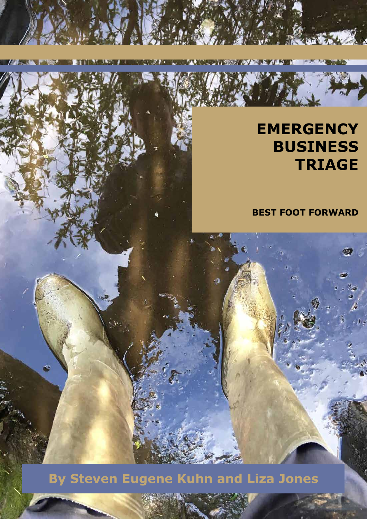**TIME** 

*<b>TANK AND* 

**BEST FOOT FORWARD**

**By Steven Eugene Kuhn and Liza Jones**

 $\triangleq$ 

**TIME ABLEST MINORARY ALBEMENT MORPHY RESERVED TO A TIME A**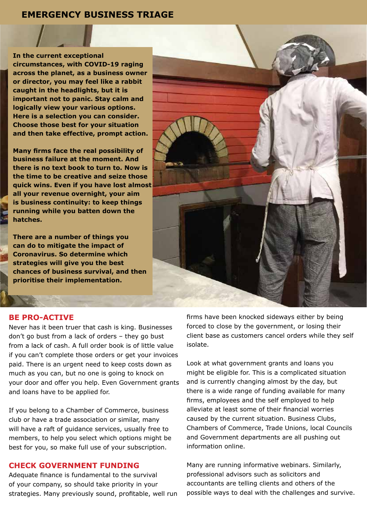**In the current exceptional circumstances, with COVID-19 raging across the planet, as a business owner or director, you may feel like a rabbit caught in the headlights, but it is important not to panic. Stay calm and logically view your various options. Here is a selection you can consider. Choose those best for your situation and then take effective, prompt action.**

**Many firms face the real possibility of business failure at the moment. And there is no text book to turn to. Now is the time to be creative and seize those quick wins. Even if you have lost almost all your revenue overnight, your aim is business continuity: to keep things running while you batten down the hatches.** 

**There are a number of things you can do to mitigate the impact of Coronavirus. So determine which strategies will give you the best chances of business survival, and then prioritise their implementation.** 



#### **BE PRO-ACTIVE**

Never has it been truer that cash is king. Businesses don't go bust from a lack of orders – they go bust from a lack of cash. A full order book is of little value if you can't complete those orders or get your invoices paid. There is an urgent need to keep costs down as much as you can, but no one is going to knock on your door and offer you help. Even Government grants and loans have to be applied for.

If you belong to a Chamber of Commerce, business club or have a trade association or similar, many will have a raft of guidance services, usually free to members, to help you select which options might be best for you, so make full use of your subscription.

## **CHECK GOVERNMENT FUNDING**

Adequate finance is fundamental to the survival of your company, so should take priority in your strategies. Many previously sound, profitable, well run firms have been knocked sideways either by being forced to close by the government, or losing their client base as customers cancel orders while they self isolate.

Look at what government grants and loans you might be eligible for. This is a complicated situation and is currently changing almost by the day, but there is a wide range of funding available for many firms, employees and the self employed to help alleviate at least some of their financial worries caused by the current situation. Business Clubs, Chambers of Commerce, Trade Unions, local Councils and Government departments are all pushing out information online.

Many are running informative webinars. Similarly, professional advisors such as solicitors and accountants are telling clients and others of the possible ways to deal with the challenges and survive.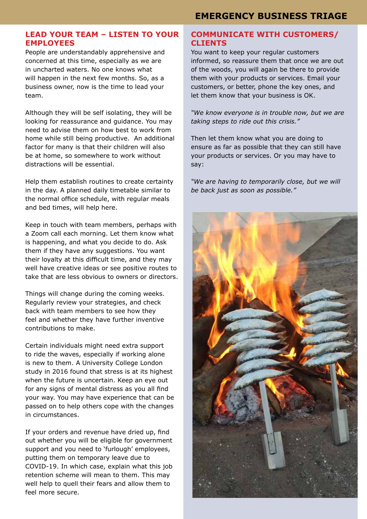## **LEAD YOUR TEAM – LISTEN TO YOUR EMPLOYEES**

People are understandably apprehensive and concerned at this time, especially as we are in uncharted waters. No one knows what will happen in the next few months. So, as a business owner, now is the time to lead your team.

Although they will be self isolating, they will be looking for reassurance and guidance. You may need to advise them on how best to work from home while still being productive. An additional factor for many is that their children will also be at home, so somewhere to work without distractions will be essential.

Help them establish routines to create certainty in the day. A planned daily timetable similar to the normal office schedule, with regular meals and bed times, will help here.

Keep in touch with team members, perhaps with a Zoom call each morning. Let them know what is happening, and what you decide to do. Ask them if they have any suggestions. You want their loyalty at this difficult time, and they may well have creative ideas or see positive routes to take that are less obvious to owners or directors.

Things will change during the coming weeks. Regularly review your strategies, and check back with team members to see how they feel and whether they have further inventive contributions to make.

Certain individuals might need extra support to ride the waves, especially if working alone is new to them. A University College London study in 2016 found that stress is at its highest when the future is uncertain. Keep an eye out for any signs of mental distress as you all find your way. You may have experience that can be passed on to help others cope with the changes in circumstances.

If your orders and revenue have dried up, find out whether you will be eligible for government support and you need to 'furlough' employees, putting them on temporary leave due to COVID-19. In which case, explain what this job retention scheme will mean to them. This may well help to quell their fears and allow them to feel more secure.

# **COMMUNICATE WITH CUSTOMERS/ CLIENTS**

You want to keep your regular customers informed, so reassure them that once we are out of the woods, you will again be there to provide them with your products or services. Email your customers, or better, phone the key ones, and let them know that your business is OK.

*"We know everyone is in trouble now, but we are taking steps to ride out this crisis."* 

Then let them know what you are doing to ensure as far as possible that they can still have your products or services. Or you may have to say:

*"We are having to temporarily close, but we will be back just as soon as possible."* 

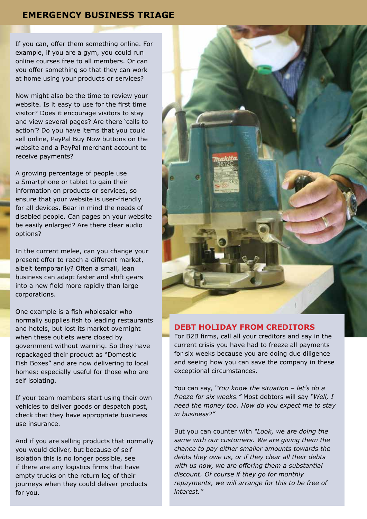If you can, offer them something online. For example, if you are a gym, you could run online courses free to all members. Or can you offer something so that they can work at home using your products or services?

Now might also be the time to review your website. Is it easy to use for the first time visitor? Does it encourage visitors to stay and view several pages? Are there 'calls to action'? Do you have items that you could sell online, PayPal Buy Now buttons on the website and a PayPal merchant account to receive payments?

A growing percentage of people use a Smartphone or tablet to gain their information on products or services, so ensure that your website is user-friendly for all devices. Bear in mind the needs of disabled people. Can pages on your website be easily enlarged? Are there clear audio options?

In the current melee, can you change your present offer to reach a different market, albeit temporarily? Often a small, lean business can adapt faster and shift gears into a new field more rapidly than large corporations.

One example is a fish wholesaler who normally supplies fish to leading restaurants and hotels, but lost its market overnight when these outlets were closed by government without warning. So they have repackaged their product as "Domestic Fish Boxes" and are now delivering to local homes; especially useful for those who are self isolating.

If your team members start using their own vehicles to deliver goods or despatch post, check that they have appropriate business use insurance.

And if you are selling products that normally you would deliver, but because of self isolation this is no longer possible, see if there are any logistics firms that have empty trucks on the return leg of their journeys when they could deliver products for you.



## **DEBT HOLIDAY FROM CREDITORS**

For B2B firms, call all your creditors and say in the current crisis you have had to freeze all payments for six weeks because you are doing due diligence and seeing how you can save the company in these exceptional circumstances.

You can say, *"You know the situation – let's do a freeze for six weeks."* Most debtors will say *"Well, I need the money too. How do you expect me to stay in business?"* 

But you can counter with *"Look, we are doing the same with our customers. We are giving them the chance to pay either smaller amounts towards the debts they owe us, or if they clear all their debts with us now, we are offering them a substantial discount. Of course if they go for monthly repayments, we will arrange for this to be free of interest."*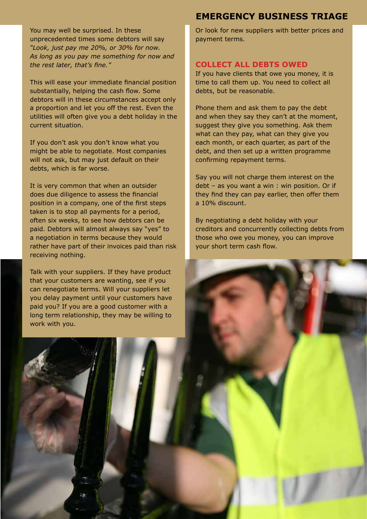You may well be surprised. In these unprecedented times some debtors will say *"Look, just pay me 20%, or 30% for now. As long as you pay me something for now and the rest later, that's fine."* 

This will ease your immediate financial position substantially, helping the cash flow. Some debtors will in these circumstances accept only a proportion and let you off the rest. Even the utilities will often give you a debt holiday in the current situation.

If you don't ask you don't know what you might be able to negotiate. Most companies will not ask, but may just default on their debts, which is far worse.

It is very common that when an outsider does due diligence to assess the financial position in a company, one of the first steps taken is to stop all payments for a period, often six weeks, to see how debtors can be paid. Debtors will almost always say "yes" to a negotiation in terms because they would rather have part of their invoices paid than risk receiving nothing.

Talk with your suppliers. If they have product that your customers are wanting, see if you can renegotiate terms. Will your suppliers let you delay payment until your customers have paid you? If you are a good customer with a long term relationship, they may be willing to work with you.

# **EMERGENCY BUSINESS TRIAGE**

Or look for new suppliers with better prices and payment terms.

# **COLLECT ALL DEBTS OWED**

If you have clients that owe you money, it is time to call them up. You need to collect all debts, but be reasonable.

Phone them and ask them to pay the debt and when they say they can't at the moment, suggest they give you something. Ask them what can they pay, what can they give you each month, or each quarter, as part of the debt, and then set up a written programme confirming repayment terms.

Say you will not charge them interest on the debt – as you want a win : win position. Or if they find they can pay earlier, then offer them a 10% discount.

By negotiating a debt holiday with your creditors and concurrently collecting debts from those who owe you money, you can improve your short term cash flow.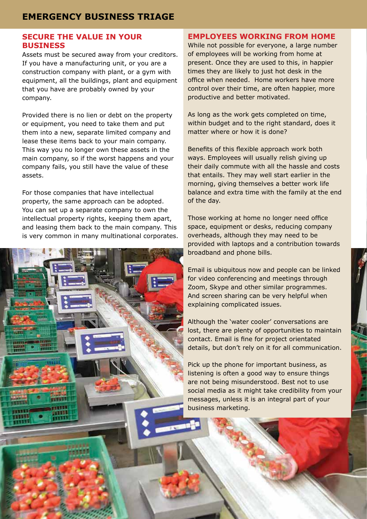## **SECURE THE VALUE IN YOUR BUSINESS**

Assets must be secured away from your creditors. If you have a manufacturing unit, or you are a construction company with plant, or a gym with equipment, all the buildings, plant and equipment that you have are probably owned by your company.

Provided there is no lien or debt on the property or equipment, you need to take them and put them into a new, separate limited company and lease these items back to your main company. This way you no longer own these assets in the main company, so if the worst happens and your company fails, you still have the value of these assets.

For those companies that have intellectual property, the same approach can be adopted. You can set up a separate company to own the intellectual property rights, keeping them apart, and leasing them back to the main company. This is very common in many multinational corporates.

## **EMPLOYEES WORKING FROM HOME**

While not possible for everyone, a large number of employees will be working from home at present. Once they are used to this, in happier times they are likely to just hot desk in the office when needed. Home workers have more control over their time, are often happier, more productive and better motivated.

As long as the work gets completed on time, within budget and to the right standard, does it matter where or how it is done?

Benefits of this flexible approach work both ways. Employees will usually relish giving up their daily commute with all the hassle and costs that entails. They may well start earlier in the morning, giving themselves a better work life balance and extra time with the family at the end of the day.

Those working at home no longer need office space, equipment or desks, reducing company overheads, although they may need to be provided with laptops and a contribution towards broadband and phone bills.

Email is ubiquitous now and people can be linked for video conferencing and meetings through Zoom, Skype and other similar programmes. And screen sharing can be very helpful when explaining complicated issues.

Although the 'water cooler' conversations are lost, there are plenty of opportunities to maintain contact. Email is fine for project orientated details, but don't rely on it for all communication.

Pick up the phone for important business, as listening is often a good way to ensure things are not being misunderstood. Best not to use social media as it might take credibility from your messages, unless it is an integral part of your business marketing.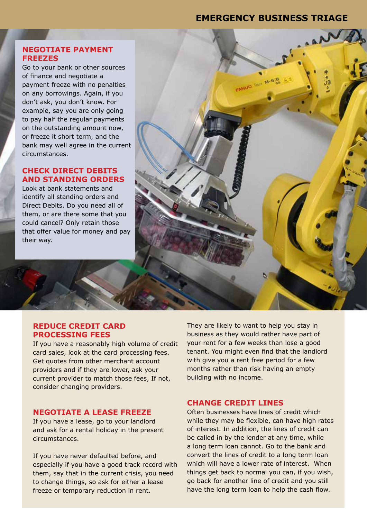**Bia-M** <sub>true</sub> OUILAR

## **NEGOTIATE PAYMENT FREEZES**

Go to your bank or other sources of finance and negotiate a payment freeze with no penalties on any borrowings. Again, if you don't ask, you don't know. For example, say you are only going to pay half the regular payments on the outstanding amount now, or freeze it short term, and the bank may well agree in the current circumstances.

# **CHECK DIRECT DEBITS AND STANDING ORDERS**

Look at bank statements and identify all standing orders and Direct Debits. Do you need all of them, or are there some that you could cancel? Only retain those that offer value for money and pay their way.

#### **REDUCE CREDIT CARD PROCESSING FEES**

If you have a reasonably high volume of credit card sales, look at the card processing fees. Get quotes from other merchant account providers and if they are lower, ask your current provider to match those fees, If not, consider changing providers.

#### **NEGOTIATE A LEASE FREEZE**

If you have a lease, go to your landlord and ask for a rental holiday in the present circumstances.

If you have never defaulted before, and especially if you have a good track record with them, say that in the current crisis, you need to change things, so ask for either a lease freeze or temporary reduction in rent.

They are likely to want to help you stay in business as they would rather have part of your rent for a few weeks than lose a good tenant. You might even find that the landlord with give you a rent free period for a few months rather than risk having an empty building with no income.

#### **CHANGE CREDIT LINES**

Often businesses have lines of credit which while they may be flexible, can have high rates of interest. In addition, the lines of credit can be called in by the lender at any time, while a long term loan cannot. Go to the bank and convert the lines of credit to a long term loan which will have a lower rate of interest. When things get back to normal you can, if you wish, go back for another line of credit and you still have the long term loan to help the cash flow.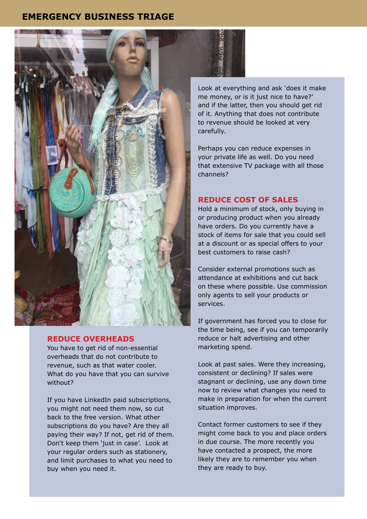

#### **REDUCE OVERHEADS**

You have to get rid of non-essential overheads that do not contribute to revenue, such as that water cooler. What do you have that you can survive without?

If you have LinkedIn paid subscriptions, you might not need them now, so cut back to the free version. What other subscriptions do you have? Are they all paying their way? If not, get rid of them. Don't keep them 'just in case'. Look at your regular orders such as stationery, and limit purchases to what you need to buy when you need it.

Look at everything and ask 'does it make me money, or is it just nice to have?' and if the latter, then you should get rid of it. Anything that does not contribute to revenue should be looked at very carefully.

Perhaps you can reduce expenses in your private life as well. Do you need that extensive TV package with all those channels?

# **REDUCE COST OF SALES**

Hold a minimum of stock, only buying in or producing product when you already have orders. Do you currently have a stock of items for sale that you could sell at a discount or as special offers to your best customers to raise cash?

Consider external promotions such as attendance at exhibitions and cut back on these where possible. Use commission only agents to sell your products or services.

If government has forced you to close for the time being, see if you can temporarily reduce or halt advertising and other marketing spend.

Look at past sales. Were they increasing, consistent or declining? If sales were stagnant or declining, use any down time now to review what changes you need to make in preparation for when the current situation improves.

Contact former customers to see if they might come back to you and place orders in due course. The more recently you have contacted a prospect, the more likely they are to remember you when they are ready to buy.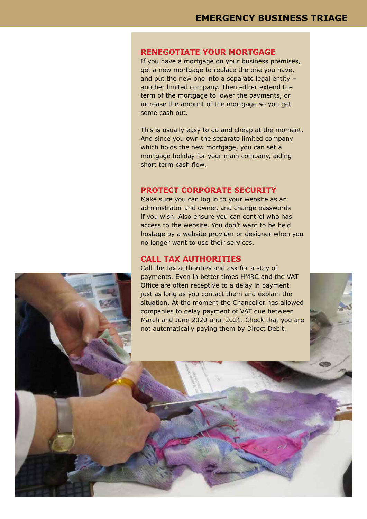### **RENEGOTIATE YOUR MORTGAGE**

If you have a mortgage on your business premises, get a new mortgage to replace the one you have, and put the new one into a separate legal entity – another limited company. Then either extend the term of the mortgage to lower the payments, or increase the amount of the mortgage so you get some cash out.

This is usually easy to do and cheap at the moment. And since you own the separate limited company which holds the new mortgage, you can set a mortgage holiday for your main company, aiding short term cash flow.

## **PROTECT CORPORATE SECURITY**

Make sure you can log in to your website as an administrator and owner, and change passwords if you wish. Also ensure you can control who has access to the website. You don't want to be held hostage by a website provider or designer when you no longer want to use their services.

#### **CALL TAX AUTHORITIES**

Call the tax authorities and ask for a stay of payments. Even in better times HMRC and the VAT Office are often receptive to a delay in payment just as long as you contact them and explain the situation. At the moment the Chancellor has allowed companies to delay payment of VAT due between March and June 2020 until 2021. Check that you are not automatically paying them by Direct Debit.

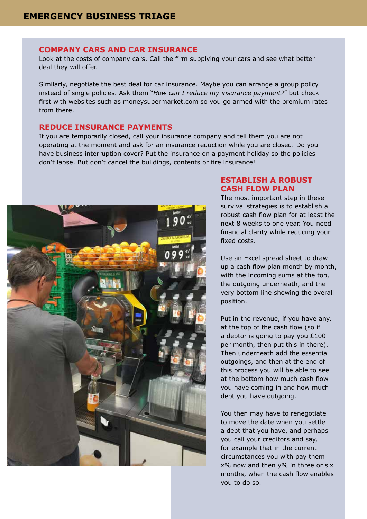#### **COMPANY CARS AND CAR INSURANCE**

Look at the costs of company cars. Call the firm supplying your cars and see what better deal they will offer.

Similarly, negotiate the best deal for car insurance. Maybe you can arrange a group policy instead of single policies. Ask them "*How can I reduce my insurance payment?*" but check first with websites such as moneysupermarket.com so you go armed with the premium rates from there.

#### **REDUCE INSURANCE PAYMENTS**

If you are temporarily closed, call your insurance company and tell them you are not operating at the moment and ask for an insurance reduction while you are closed. Do you have business interruption cover? Put the insurance on a payment holiday so the policies don't lapse. But don't cancel the buildings, contents or fire insurance!



# **ESTABLISH A ROBUST CASH FLOW PLAN**

The most important step in these survival strategies is to establish a robust cash flow plan for at least the next 8 weeks to one year. You need financial clarity while reducing your fixed costs.

Use an Excel spread sheet to draw up a cash flow plan month by month, with the incoming sums at the top, the outgoing underneath, and the very bottom line showing the overall position.

Put in the revenue, if you have any, at the top of the cash flow (so if a debtor is going to pay you £100 per month, then put this in there). Then underneath add the essential outgoings, and then at the end of this process you will be able to see at the bottom how much cash flow you have coming in and how much debt you have outgoing.

You then may have to renegotiate to move the date when you settle a debt that you have, and perhaps you call your creditors and say, for example that in the current circumstances you with pay them x% now and then y% in three or six months, when the cash flow enables you to do so.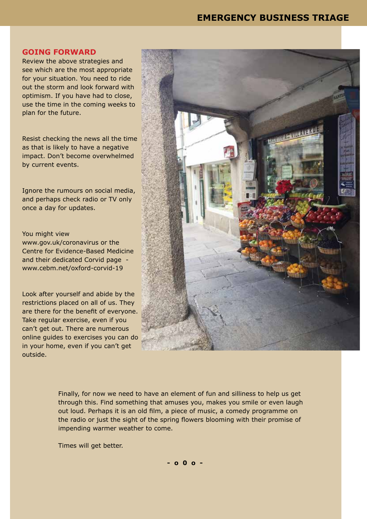#### **GOING FORWARD**

Review the above strategies and see which are the most appropriate for your situation. You need to ride out the storm and look forward with optimism. If you have had to close, use the time in the coming weeks to plan for the future.

Resist checking the news all the time as that is likely to have a negative impact. Don't become overwhelmed by current events.

Ignore the rumours on social media, and perhaps check radio or TV only once a day for updates.

#### You might view

www.gov.uk/coronavirus or the Centre for Evidence-Based Medicine and their dedicated Corvid page www.cebm.net/oxford-corvid-19

Look after yourself and abide by the restrictions placed on all of us. They are there for the benefit of everyone. Take regular exercise, even if you can't get out. There are numerous online guides to exercises you can do in your home, even if you can't get outside.



Finally, for now we need to have an element of fun and silliness to help us get through this. Find something that amuses you, makes you smile or even laugh out loud. Perhaps it is an old film, a piece of music, a comedy programme on the radio or just the sight of the spring flowers blooming with their promise of impending warmer weather to come.

Times will get better.

**- o 0 o -**